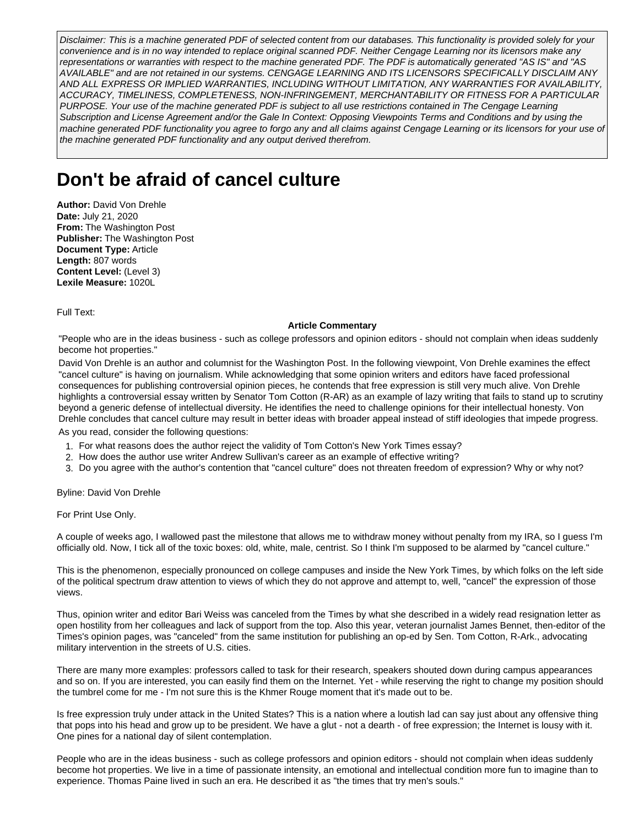Disclaimer: This is a machine generated PDF of selected content from our databases. This functionality is provided solely for your convenience and is in no way intended to replace original scanned PDF. Neither Cengage Learning nor its licensors make any representations or warranties with respect to the machine generated PDF. The PDF is automatically generated "AS IS" and "AS AVAILABLE" and are not retained in our systems. CENGAGE LEARNING AND ITS LICENSORS SPECIFICALLY DISCLAIM ANY AND ALL EXPRESS OR IMPLIED WARRANTIES, INCLUDING WITHOUT LIMITATION, ANY WARRANTIES FOR AVAILABILITY, ACCURACY, TIMELINESS, COMPLETENESS, NON-INFRINGEMENT, MERCHANTABILITY OR FITNESS FOR A PARTICULAR PURPOSE. Your use of the machine generated PDF is subject to all use restrictions contained in The Cengage Learning Subscription and License Agreement and/or the Gale In Context: Opposing Viewpoints Terms and Conditions and by using the machine generated PDF functionality you agree to forgo any and all claims against Cengage Learning or its licensors for your use of the machine generated PDF functionality and any output derived therefrom.

## **Don't be afraid of cancel culture**

**Author:** David Von Drehle **Date:** July 21, 2020 **From:** The Washington Post **Publisher:** The Washington Post **Document Type:** Article **Length:** 807 words **Content Level:** (Level 3) **Lexile Measure:** 1020L

Full Text:

## **Article Commentary**

"People who are in the ideas business - such as college professors and opinion editors - should not complain when ideas suddenly become hot properties."

David Von Drehle is an author and columnist for the Washington Post. In the following viewpoint, Von Drehle examines the effect "cancel culture" is having on journalism. While acknowledging that some opinion writers and editors have faced professional consequences for publishing controversial opinion pieces, he contends that free expression is still very much alive. Von Drehle highlights a controversial essay written by Senator Tom Cotton (R-AR) as an example of lazy writing that fails to stand up to scrutiny beyond a generic defense of intellectual diversity. He identifies the need to challenge opinions for their intellectual honesty. Von Drehle concludes that cancel culture may result in better ideas with broader appeal instead of stiff ideologies that impede progress.

As you read, consider the following questions:

- 1. For what reasons does the author reject the validity of Tom Cotton's New York Times essay?
- 2. How does the author use writer Andrew Sullivan's career as an example of effective writing?
- 3. Do you agree with the author's contention that "cancel culture" does not threaten freedom of expression? Why or why not?

Byline: David Von Drehle

For Print Use Only.

A couple of weeks ago, I wallowed past the milestone that allows me to withdraw money without penalty from my IRA, so I guess I'm officially old. Now, I tick all of the toxic boxes: old, white, male, centrist. So I think I'm supposed to be alarmed by "cancel culture."

This is the phenomenon, especially pronounced on college campuses and inside the New York Times, by which folks on the left side of the political spectrum draw attention to views of which they do not approve and attempt to, well, "cancel" the expression of those views.

Thus, opinion writer and editor Bari Weiss was canceled from the Times by what she described in a widely read resignation letter as open hostility from her colleagues and lack of support from the top. Also this year, veteran journalist James Bennet, then-editor of the Times's opinion pages, was "canceled" from the same institution for publishing an op-ed by Sen. Tom Cotton, R-Ark., advocating military intervention in the streets of U.S. cities.

There are many more examples: professors called to task for their research, speakers shouted down during campus appearances and so on. If you are interested, you can easily find them on the Internet. Yet - while reserving the right to change my position should the tumbrel come for me - I'm not sure this is the Khmer Rouge moment that it's made out to be.

Is free expression truly under attack in the United States? This is a nation where a loutish lad can say just about any offensive thing that pops into his head and grow up to be president. We have a glut - not a dearth - of free expression; the Internet is lousy with it. One pines for a national day of silent contemplation.

People who are in the ideas business - such as college professors and opinion editors - should not complain when ideas suddenly become hot properties. We live in a time of passionate intensity, an emotional and intellectual condition more fun to imagine than to experience. Thomas Paine lived in such an era. He described it as "the times that try men's souls."